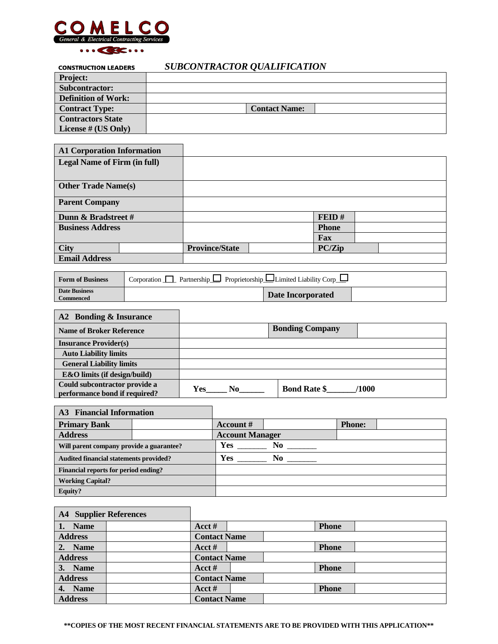

r.

### *SUBCONTRACTOR QUALIFICATION*

| <b>Project:</b>            |                      |
|----------------------------|----------------------|
| Subcontractor:             |                      |
| <b>Definition of Work:</b> |                      |
| <b>Contract Type:</b>      | <b>Contact Name:</b> |
| <b>Contractors State</b>   |                      |
| License # (US Only)        |                      |

| <b>A1 Corporation Information</b>   |                       |              |  |
|-------------------------------------|-----------------------|--------------|--|
| <b>Legal Name of Firm (in full)</b> |                       |              |  |
|                                     |                       |              |  |
| <b>Other Trade Name(s)</b>          |                       |              |  |
| <b>Parent Company</b>               |                       |              |  |
| Dunn & Bradstreet #                 |                       | FED#         |  |
| <b>Business Address</b>             |                       | <b>Phone</b> |  |
|                                     |                       | Fax          |  |
| <b>City</b>                         | <b>Province/State</b> | PC/Zip       |  |
| <b>Email Address</b>                |                       |              |  |

| <b>Form of Business</b>           | Partnership $\Box$ Proprietorship $\Box$ Limited Liability Corp<br>Corporation 1 |                          |  |  |  |
|-----------------------------------|----------------------------------------------------------------------------------|--------------------------|--|--|--|
| Date Business<br><b>Commenced</b> |                                                                                  | <b>Date Incorporated</b> |  |  |  |

| A2 Bonding & Insurance                                         |            |                              |
|----------------------------------------------------------------|------------|------------------------------|
| <b>Name of Broker Reference</b>                                |            | <b>Bonding Company</b>       |
| <b>Insurance Provider(s)</b>                                   |            |                              |
| <b>Auto Liability limits</b>                                   |            |                              |
| <b>General Liability limits</b>                                |            |                              |
| <b>E&amp;O</b> limits (if design/build)                        |            |                              |
| Could subcontractor provide a<br>performance bond if required? | Yes<br>No. | <b>Bond Rate \$</b><br>/1000 |

| <b>A3</b> Financial Information               |  |                        |                |               |  |
|-----------------------------------------------|--|------------------------|----------------|---------------|--|
| <b>Primary Bank</b>                           |  | Account $#$            |                | <b>Phone:</b> |  |
| <b>Address</b>                                |  | <b>Account Manager</b> |                |               |  |
| Will parent company provide a guarantee?      |  | <b>Yes</b>             | No             |               |  |
| <b>Audited financial statements provided?</b> |  | <b>Yes</b>             | N <sub>0</sub> |               |  |
| Financial reports for period ending?          |  |                        |                |               |  |
| <b>Working Capital?</b>                       |  |                        |                |               |  |
| <b>Equity?</b>                                |  |                        |                |               |  |

| <b>A4</b> Supplier References |                     |  |              |  |
|-------------------------------|---------------------|--|--------------|--|
| <b>Name</b>                   | Acct#               |  | <b>Phone</b> |  |
| <b>Address</b>                | <b>Contact Name</b> |  |              |  |
| 2. Name                       | Acct#               |  | <b>Phone</b> |  |
| <b>Address</b>                | <b>Contact Name</b> |  |              |  |
| <b>Name</b><br>3.             | Acct $#$            |  | <b>Phone</b> |  |
| <b>Address</b>                | <b>Contact Name</b> |  |              |  |
| 4. Name                       | Acct $#$            |  | <b>Phone</b> |  |
| <b>Address</b>                | <b>Contact Name</b> |  |              |  |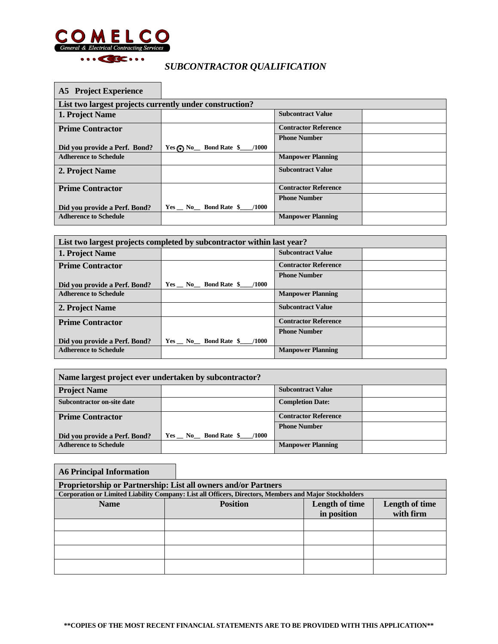

Г

# *SUBCONTRACTOR QUALIFICATION*

| <b>A5</b> Project Experience                            |                                                                                                        |                             |  |  |  |  |  |
|---------------------------------------------------------|--------------------------------------------------------------------------------------------------------|-----------------------------|--|--|--|--|--|
| List two largest projects currently under construction? |                                                                                                        |                             |  |  |  |  |  |
| 1. Project Name                                         |                                                                                                        | <b>Subcontract Value</b>    |  |  |  |  |  |
| <b>Prime Contractor</b>                                 |                                                                                                        | <b>Contractor Reference</b> |  |  |  |  |  |
|                                                         |                                                                                                        | <b>Phone Number</b>         |  |  |  |  |  |
| Did you provide a Perf. Bond?                           | $Yes \bigodot No \_$ Bond Rate $\ \ \ \ \ \ \ \ \ \ \ \ \ \ \ \ \ \ \ \ \ \ \ \ \ \ \ \ \ \ \ \ \ \ \$ |                             |  |  |  |  |  |
| <b>Adherence to Schedule</b>                            |                                                                                                        | <b>Manpower Planning</b>    |  |  |  |  |  |
| 2. Project Name                                         |                                                                                                        | <b>Subcontract Value</b>    |  |  |  |  |  |
| <b>Prime Contractor</b>                                 |                                                                                                        | <b>Contractor Reference</b> |  |  |  |  |  |
|                                                         |                                                                                                        | <b>Phone Number</b>         |  |  |  |  |  |
| Did you provide a Perf. Bond?                           | $Yes$ No Bond Rate $$$ /1000                                                                           |                             |  |  |  |  |  |
| <b>Adherence to Schedule</b>                            |                                                                                                        | <b>Manpower Planning</b>    |  |  |  |  |  |

| List two largest projects completed by subcontractor within last year? |                                        |                             |  |  |
|------------------------------------------------------------------------|----------------------------------------|-----------------------------|--|--|
| 1. Project Name                                                        |                                        | <b>Subcontract Value</b>    |  |  |
| <b>Prime Contractor</b>                                                |                                        | <b>Contractor Reference</b> |  |  |
|                                                                        |                                        | <b>Phone Number</b>         |  |  |
| Did you provide a Perf. Bond?                                          | $Yes$ No Bond Rate $\frac{6}{2}$ /1000 |                             |  |  |
| <b>Adherence to Schedule</b>                                           |                                        | <b>Manpower Planning</b>    |  |  |
| 2. Project Name                                                        |                                        | <b>Subcontract Value</b>    |  |  |
| <b>Prime Contractor</b>                                                |                                        | <b>Contractor Reference</b> |  |  |
|                                                                        |                                        | <b>Phone Number</b>         |  |  |
| Did you provide a Perf. Bond?                                          | $Yes$ No Bond Rate $\frac{6}{2}$ /1000 |                             |  |  |
| <b>Adherence to Schedule</b>                                           |                                        | <b>Manpower Planning</b>    |  |  |

| Name largest project ever undertaken by subcontractor? |                                  |                             |  |  |
|--------------------------------------------------------|----------------------------------|-----------------------------|--|--|
| <b>Project Name</b>                                    |                                  | <b>Subcontract Value</b>    |  |  |
| Subcontractor on-site date                             |                                  | <b>Completion Date:</b>     |  |  |
| <b>Prime Contractor</b>                                |                                  | <b>Contractor Reference</b> |  |  |
|                                                        |                                  | <b>Phone Number</b>         |  |  |
| Did you provide a Perf. Bond?                          | $Yes$ No Bond Rate $\$$<br>/1000 |                             |  |  |
| <b>Adherence to Schedule</b>                           |                                  | <b>Manpower Planning</b>    |  |  |

## **A6 Principal Information Proprietorship or Partnership: List all owners and/or Partners Corporation or Limited Liability Company: List all Officers, Directors, Members and Major Stockholders**  Name **Position Position Length of time in position Length of time with firm**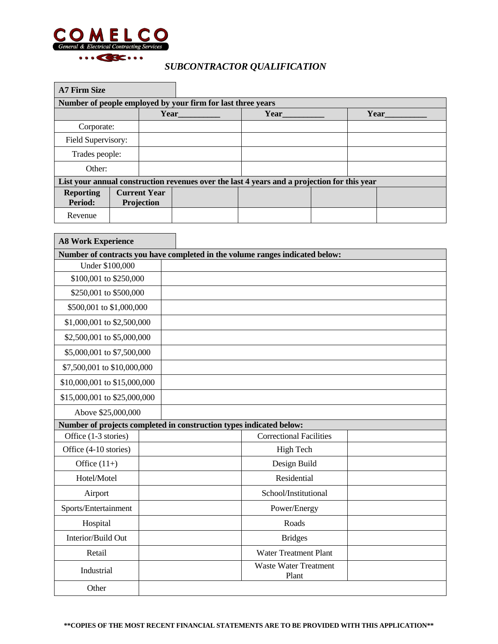

### *SUBCONTRACTOR QUALIFICATION*

| <b>A7 Firm Size</b>         |                                                             |                                   |  |                                                                                             |  |      |  |  |
|-----------------------------|-------------------------------------------------------------|-----------------------------------|--|---------------------------------------------------------------------------------------------|--|------|--|--|
|                             | Number of people employed by your firm for last three years |                                   |  |                                                                                             |  |      |  |  |
|                             |                                                             | Year                              |  | Year                                                                                        |  | Year |  |  |
| Corporate:                  |                                                             |                                   |  |                                                                                             |  |      |  |  |
| Field Supervisory:          |                                                             |                                   |  |                                                                                             |  |      |  |  |
| Trades people:              |                                                             |                                   |  |                                                                                             |  |      |  |  |
| Other:                      |                                                             |                                   |  |                                                                                             |  |      |  |  |
|                             |                                                             |                                   |  | List your annual construction revenues over the last 4 years and a projection for this year |  |      |  |  |
| <b>Reporting</b><br>Period: |                                                             | <b>Current Year</b><br>Projection |  |                                                                                             |  |      |  |  |
| Revenue                     |                                                             |                                   |  |                                                                                             |  |      |  |  |

 $\overline{\phantom{0}}$ 

| <b>A8 Work Experience</b>                                           |  |                                                                              |  |
|---------------------------------------------------------------------|--|------------------------------------------------------------------------------|--|
|                                                                     |  | Number of contracts you have completed in the volume ranges indicated below: |  |
| Under \$100,000                                                     |  |                                                                              |  |
| \$100,001 to \$250,000                                              |  |                                                                              |  |
| \$250,001 to \$500,000                                              |  |                                                                              |  |
| \$500,001 to \$1,000,000                                            |  |                                                                              |  |
| \$1,000,001 to \$2,500,000                                          |  |                                                                              |  |
| \$2,500,001 to \$5,000,000                                          |  |                                                                              |  |
| \$5,000,001 to \$7,500,000                                          |  |                                                                              |  |
| \$7,500,001 to \$10,000,000                                         |  |                                                                              |  |
| \$10,000,001 to \$15,000,000                                        |  |                                                                              |  |
| \$15,000,001 to \$25,000,000                                        |  |                                                                              |  |
| Above \$25,000,000                                                  |  |                                                                              |  |
| Number of projects completed in construction types indicated below: |  |                                                                              |  |
| Office (1-3 stories)                                                |  | <b>Correctional Facilities</b>                                               |  |
| Office (4-10 stories)                                               |  | High Tech                                                                    |  |
| Office $(11+)$                                                      |  | Design Build                                                                 |  |
| Hotel/Motel                                                         |  | Residential                                                                  |  |
| Airport                                                             |  | School/Institutional                                                         |  |
| Sports/Entertainment                                                |  | Power/Energy                                                                 |  |
| Hospital                                                            |  | Roads                                                                        |  |
| Interior/Build Out                                                  |  | <b>Bridges</b>                                                               |  |
| Retail                                                              |  | <b>Water Treatment Plant</b>                                                 |  |
| Industrial                                                          |  | <b>Waste Water Treatment</b><br>Plant                                        |  |
| Other                                                               |  |                                                                              |  |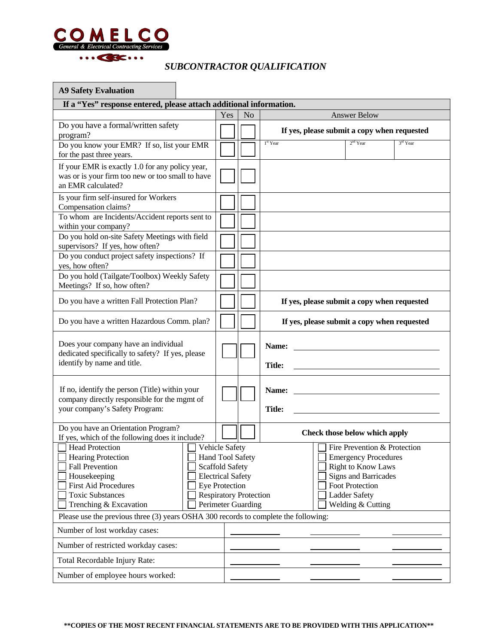

### *SUBCONTRACTOR QUALIFICATION*

| <b>A9 Safety Evaluation</b>                                                                                                                                                |                                                                                                                                                                                 |     |                |                        |                                                                                                                                                                                                |          |
|----------------------------------------------------------------------------------------------------------------------------------------------------------------------------|---------------------------------------------------------------------------------------------------------------------------------------------------------------------------------|-----|----------------|------------------------|------------------------------------------------------------------------------------------------------------------------------------------------------------------------------------------------|----------|
| If a "Yes" response entered, please attach additional information.                                                                                                         |                                                                                                                                                                                 |     |                |                        |                                                                                                                                                                                                |          |
|                                                                                                                                                                            |                                                                                                                                                                                 | Yes | N <sub>o</sub> |                        | <b>Answer Below</b>                                                                                                                                                                            |          |
| Do you have a formal/written safety<br>program?                                                                                                                            |                                                                                                                                                                                 |     |                |                        | If yes, please submit a copy when requested                                                                                                                                                    |          |
| Do you know your EMR? If so, list your EMR<br>for the past three years.                                                                                                    |                                                                                                                                                                                 |     |                | 1st Year               | $2nd$ Year                                                                                                                                                                                     | 3rd Year |
| If your EMR is exactly 1.0 for any policy year,<br>was or is your firm too new or too small to have<br>an EMR calculated?                                                  |                                                                                                                                                                                 |     |                |                        |                                                                                                                                                                                                |          |
| Is your firm self-insured for Workers<br>Compensation claims?                                                                                                              |                                                                                                                                                                                 |     |                |                        |                                                                                                                                                                                                |          |
| To whom are Incidents/Accident reports sent to<br>within your company?                                                                                                     |                                                                                                                                                                                 |     |                |                        |                                                                                                                                                                                                |          |
| Do you hold on-site Safety Meetings with field<br>supervisors? If yes, how often?                                                                                          |                                                                                                                                                                                 |     |                |                        |                                                                                                                                                                                                |          |
| Do you conduct project safety inspections? If<br>yes, how often?                                                                                                           |                                                                                                                                                                                 |     |                |                        |                                                                                                                                                                                                |          |
| Do you hold (Tailgate/Toolbox) Weekly Safety<br>Meetings? If so, how often?                                                                                                |                                                                                                                                                                                 |     |                |                        |                                                                                                                                                                                                |          |
| Do you have a written Fall Protection Plan?                                                                                                                                |                                                                                                                                                                                 |     |                |                        | If yes, please submit a copy when requested                                                                                                                                                    |          |
| Do you have a written Hazardous Comm. plan?                                                                                                                                |                                                                                                                                                                                 |     |                |                        | If yes, please submit a copy when requested                                                                                                                                                    |          |
| Does your company have an individual<br>dedicated specifically to safety? If yes, please<br>identify by name and title.                                                    |                                                                                                                                                                                 |     |                | Name:<br><b>Title:</b> |                                                                                                                                                                                                |          |
| If no, identify the person (Title) within your<br>company directly responsible for the mgmt of<br>your company's Safety Program:                                           |                                                                                                                                                                                 |     |                | Name:<br><b>Title:</b> |                                                                                                                                                                                                |          |
| Do you have an Orientation Program?<br>If yes, which of the following does it include?                                                                                     |                                                                                                                                                                                 |     |                |                        | Check those below which apply                                                                                                                                                                  |          |
| <b>Head Protection</b><br>Hearing Protection<br><b>Fall Prevention</b><br>Housekeeping<br><b>First Aid Procedures</b><br><b>Toxic Substances</b><br>Trenching & Excavation | Vehicle Safety<br><b>Hand Tool Safety</b><br><b>Scaffold Safety</b><br><b>Electrical Safety</b><br><b>Eye Protection</b><br><b>Respiratory Protection</b><br>Perimeter Guarding |     |                |                        | Fire Prevention & Protection<br><b>Emergency Procedures</b><br><b>Right to Know Laws</b><br><b>Signs and Barricades</b><br><b>Foot Protection</b><br><b>Ladder Safety</b><br>Welding & Cutting |          |
| Please use the previous three (3) years OSHA 300 records to complete the following:                                                                                        |                                                                                                                                                                                 |     |                |                        |                                                                                                                                                                                                |          |
| Number of lost workday cases:                                                                                                                                              |                                                                                                                                                                                 |     |                |                        |                                                                                                                                                                                                |          |
| Number of restricted workday cases:                                                                                                                                        |                                                                                                                                                                                 |     |                |                        |                                                                                                                                                                                                |          |
| Total Recordable Injury Rate:<br>Number of employee hours worked:                                                                                                          |                                                                                                                                                                                 |     |                |                        |                                                                                                                                                                                                |          |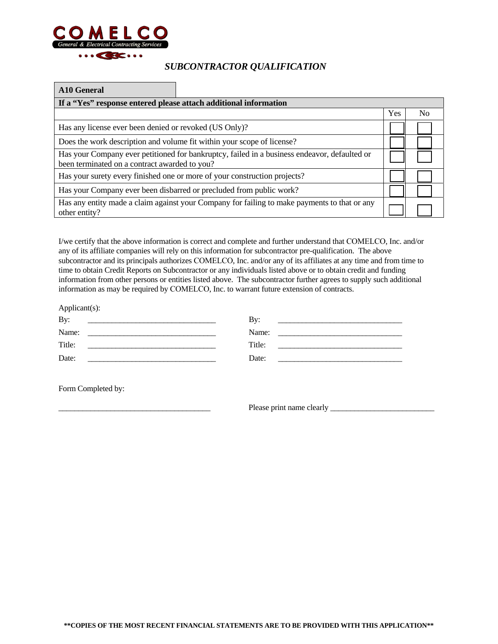

#### *SUBCONTRACTOR QUALIFICATION*

#### **A10 General**

| If a "Yes" response entered please attach additional information                                                                              |     |     |
|-----------------------------------------------------------------------------------------------------------------------------------------------|-----|-----|
|                                                                                                                                               | Yes | No. |
| Has any license ever been denied or revoked (US Only)?                                                                                        |     |     |
| Does the work description and volume fit within your scope of license?                                                                        |     |     |
| Has your Company ever petitioned for bankruptcy, failed in a business endeavor, defaulted or<br>been terminated on a contract awarded to you? |     |     |
| Has your surety every finished one or more of your construction projects?                                                                     |     |     |
| Has your Company ever been disbarred or precluded from public work?                                                                           |     |     |
| Has any entity made a claim against your Company for failing to make payments to that or any<br>other entity?                                 |     |     |

I/we certify that the above information is correct and complete and further understand that COMELCO, Inc. and/or any of its affiliate companies will rely on this information for subcontractor pre-qualification. The above subcontractor and its principals authorizes COMELCO, Inc. and/or any of its affiliates at any time and from time to time to obtain Credit Reports on Subcontractor or any individuals listed above or to obtain credit and funding information from other persons or entities listed above. The subcontractor further agrees to supply such additional information as may be required by COMELCO, Inc. to warrant future extension of contracts.

| Applicant(s):                                            |                                                                                                                          |
|----------------------------------------------------------|--------------------------------------------------------------------------------------------------------------------------|
| By:                                                      | By:                                                                                                                      |
| Name:                                                    | Name:                                                                                                                    |
| Title:                                                   | Title:                                                                                                                   |
| Date:<br><u> 1986 - Johann Amerikaanse kommunister (</u> | Date:<br>the contract of the contract of the contract of the contract of the contract of the contract of the contract of |
|                                                          |                                                                                                                          |
| Form Completed by:                                       |                                                                                                                          |

\_\_\_\_\_\_\_\_\_\_\_\_\_\_\_\_\_\_\_\_\_\_\_\_\_\_\_\_\_\_\_\_\_\_\_\_\_\_ Please print name clearly \_\_\_\_\_\_\_\_\_\_\_\_\_\_\_\_\_\_\_\_\_\_\_\_\_\_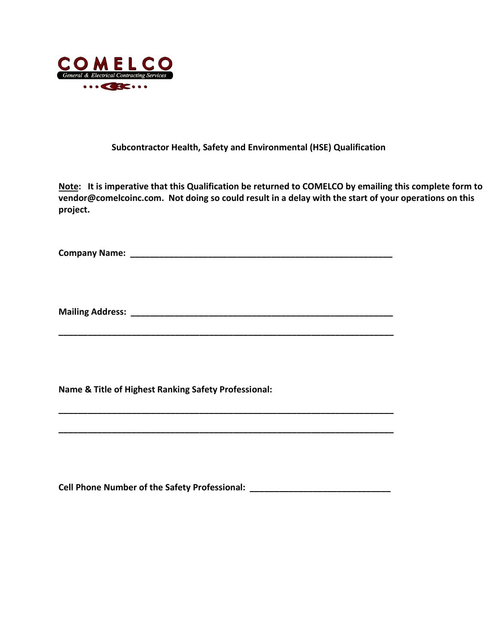

#### **Subcontractor Health, Safety and Environmental (HSE) Qualification**

**Note: It is imperative that this Qualification be returned to COMELCO by emailing this complete form to vendor@comelcoinc.com. Not doing so could result in a delay with the start of your operations on this project.** 

**Company Name: \_\_\_\_\_\_\_\_\_\_\_\_\_\_\_\_\_\_\_\_\_\_\_\_\_\_\_\_\_\_\_\_\_\_\_\_\_\_\_\_\_\_\_\_\_\_\_\_\_\_\_\_\_\_** 

**Mailing Address: \_\_\_\_\_\_\_\_\_\_\_\_\_\_\_\_\_\_\_\_\_\_\_\_\_\_\_\_\_\_\_\_\_\_\_\_\_\_\_\_\_\_\_\_\_\_\_\_\_\_\_\_\_\_** 

**\_\_\_\_\_\_\_\_\_\_\_\_\_\_\_\_\_\_\_\_\_\_\_\_\_\_\_\_\_\_\_\_\_\_\_\_\_\_\_\_\_\_\_\_\_\_\_\_\_\_\_\_\_\_\_\_\_\_\_\_\_\_\_\_\_\_\_\_\_** 

**\_\_\_\_\_\_\_\_\_\_\_\_\_\_\_\_\_\_\_\_\_\_\_\_\_\_\_\_\_\_\_\_\_\_\_\_\_\_\_\_\_\_\_\_\_\_\_\_\_\_\_\_\_\_\_\_\_\_\_\_\_\_\_\_\_\_\_\_\_** 

**\_\_\_\_\_\_\_\_\_\_\_\_\_\_\_\_\_\_\_\_\_\_\_\_\_\_\_\_\_\_\_\_\_\_\_\_\_\_\_\_\_\_\_\_\_\_\_\_\_\_\_\_\_\_\_\_\_\_\_\_\_\_\_\_\_\_\_\_\_** 

**Name & Title of Highest Ranking Safety Professional:** 

**Cell Phone Number of the Safety Professional: \_\_\_\_\_\_\_\_\_\_\_\_\_\_\_\_\_\_\_\_\_\_\_\_\_\_\_\_\_**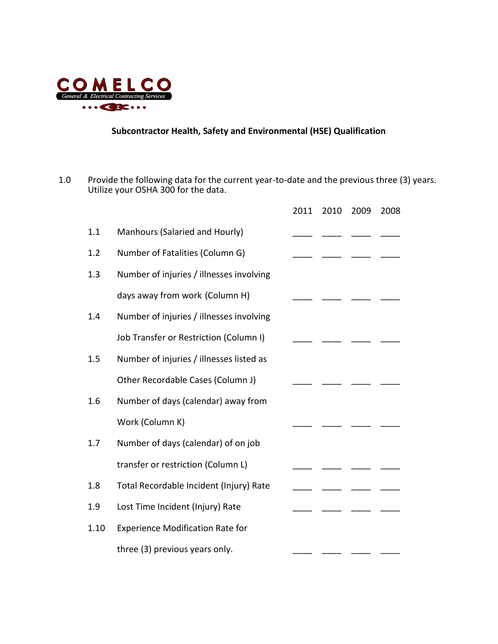

#### **Subcontractor Health, Safety and Environmental (HSE) Qualification**

1.0 Provide the following data for the current year-to-date and the previous three (3) years. Utilize your OSHA 300 for the data.

|      |                                          | 2011 | 2010 | 2009 | 2008 |
|------|------------------------------------------|------|------|------|------|
| 1.1  | Manhours (Salaried and Hourly)           |      |      |      |      |
| 1.2  | Number of Fatalities (Column G)          |      |      |      |      |
| 1.3  | Number of injuries / illnesses involving |      |      |      |      |
|      | days away from work (Column H)           |      |      |      |      |
| 1.4  | Number of injuries / illnesses involving |      |      |      |      |
|      | Job Transfer or Restriction (Column I)   |      |      |      |      |
| 1.5  | Number of injuries / illnesses listed as |      |      |      |      |
|      | Other Recordable Cases (Column J)        |      |      |      |      |
| 1.6  | Number of days (calendar) away from      |      |      |      |      |
|      | Work (Column K)                          |      |      |      |      |
| 1.7  | Number of days (calendar) of on job      |      |      |      |      |
|      | transfer or restriction (Column L)       |      |      |      |      |
| 1.8  | Total Recordable Incident (Injury) Rate  |      |      |      |      |
| 1.9  | Lost Time Incident (Injury) Rate         |      |      |      |      |
| 1.10 | <b>Experience Modification Rate for</b>  |      |      |      |      |
|      | three (3) previous years only.           |      |      |      |      |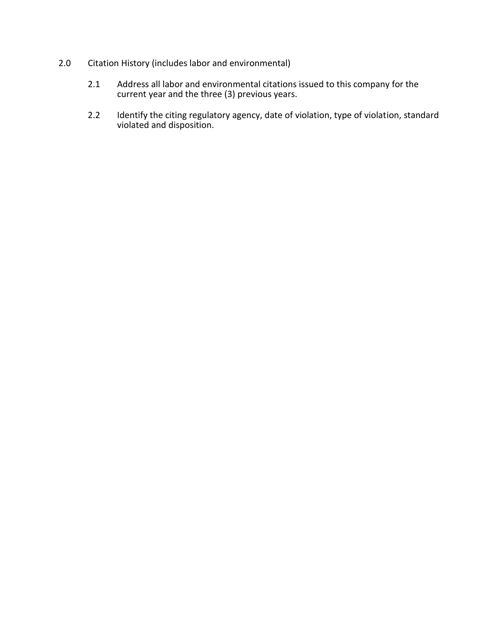- 2.0 Citation History (includes labor and environmental)
	- 2.1 Address all labor and environmental citations issued to this company for the current year and the three (3) previous years.
	- 2.2 Identify the citing regulatory agency, date of violation, type of violation, standard violated and disposition.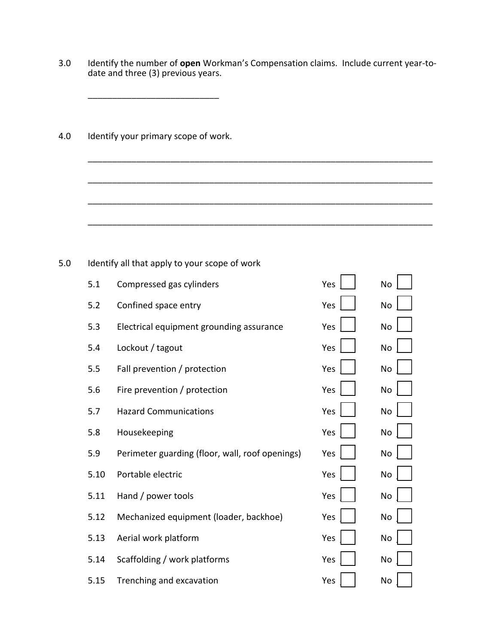3.0 Identify the number of **open** Workman's Compensation claims. Include current year-todate and three (3) previous years.

\_\_\_\_\_\_\_\_\_\_\_\_\_\_\_\_\_\_\_\_\_\_\_\_\_\_\_\_\_\_\_\_\_\_\_\_\_\_\_\_\_\_\_\_\_\_\_\_\_\_\_\_\_\_\_\_\_\_\_\_\_\_\_\_\_\_\_\_\_\_\_

\_\_\_\_\_\_\_\_\_\_\_\_\_\_\_\_\_\_\_\_\_\_\_\_\_\_\_\_\_\_\_\_\_\_\_\_\_\_\_\_\_\_\_\_\_\_\_\_\_\_\_\_\_\_\_\_\_\_\_\_\_\_\_\_\_\_\_\_\_\_\_

\_\_\_\_\_\_\_\_\_\_\_\_\_\_\_\_\_\_\_\_\_\_\_\_\_\_\_\_\_\_\_\_\_\_\_\_\_\_\_\_\_\_\_\_\_\_\_\_\_\_\_\_\_\_\_\_\_\_\_\_\_\_\_\_\_\_\_\_\_\_\_

\_\_\_\_\_\_\_\_\_\_\_\_\_\_\_\_\_\_\_\_\_\_\_\_\_\_\_\_\_\_\_\_\_\_\_\_\_\_\_\_\_\_\_\_\_\_\_\_\_\_\_\_\_\_\_\_\_\_\_\_\_\_\_\_\_\_\_\_\_\_\_

4.0 Identify your primary scope of work.

\_\_\_\_\_\_\_\_\_\_\_\_\_\_\_\_\_\_\_\_\_\_\_\_\_\_\_

5.0 Identify all that apply to your scope of work

| 5.1  | Compressed gas cylinders                        | Yes | No        |
|------|-------------------------------------------------|-----|-----------|
| 5.2  | Confined space entry                            | Yes | No        |
| 5.3  | Electrical equipment grounding assurance        | Yes | No        |
| 5.4  | Lockout / tagout                                | Yes | <b>No</b> |
| 5.5  | Fall prevention / protection                    | Yes | No        |
| 5.6  | Fire prevention / protection                    | Yes | <b>No</b> |
| 5.7  | <b>Hazard Communications</b>                    | Yes | No        |
| 5.8  | Housekeeping                                    | Yes | No        |
| 5.9  | Perimeter guarding (floor, wall, roof openings) | Yes | No        |
| 5.10 | Portable electric                               | Yes | No        |
| 5.11 | Hand / power tools                              | Yes | No        |
| 5.12 | Mechanized equipment (loader, backhoe)          | Yes | No        |
| 5.13 | Aerial work platform                            | Yes | No        |
| 5.14 | Scaffolding / work platforms                    | Yes | No        |
| 5.15 | Trenching and excavation                        | Yes | No        |

| Yes                   | No $\lfloor$ $\rfloor$ |
|-----------------------|------------------------|
| Yes $\Box$            | No $\Box$              |
| Yes $\bigsqcup$       | No $\bigsqcup$         |
| Yes $\bigsqcup$       | No $\lfloor$ $\rfloor$ |
| Yes $\vert \ \ \vert$ | No $ \_$               |
| Yes $\vert$ $\vert$   | No $\Box$              |
| Yes $\vert \ \ \vert$ |                        |
| Yes $\vert$ $\vert$   | No $\Box$              |
| Yes $\vert \_ \vert$  | No $\vert$ $\vert$     |
| Yes $\vert$ $\vert$   | No $\Box$              |
| Yes $\vert$ $\vert$   |                        |
| Yes $\vert$ $\vert$   | No $\Box$              |
| Yes $\vert \ \ \vert$ |                        |
| Yes $\Box$            | No $\Box$              |
| Yes $\vert$           | No $\vert$             |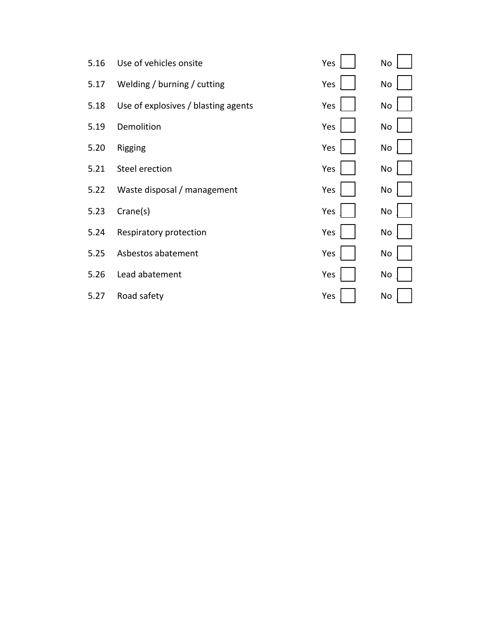| Use of vehicles onsite              | Yes | No |
|-------------------------------------|-----|----|
| Welding / burning / cutting         | Yes | No |
| Use of explosives / blasting agents | Yes | No |
| Demolition                          | Yes | No |
| Rigging                             | Yes | No |
| Steel erection                      | Yes | No |
| Waste disposal / management         | Yes | No |
| Crane(s)                            | Yes | No |
| Respiratory protection              | Yes | No |
| Asbestos abatement                  | Yes | No |
| Lead abatement                      | Yes | No |
| Road safety                         | Yes | No |
|                                     |     |    |